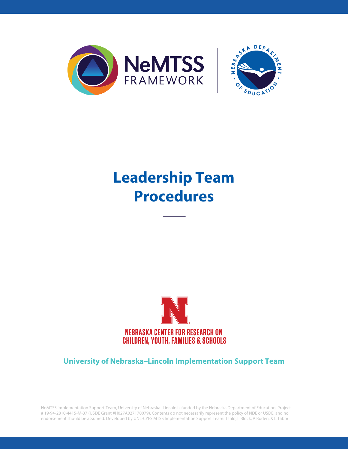



# **Leadership Team Procedures**



**University of Nebraska–Lincoln Implementation Support Team**

NeMTSS Implementation Support Team, University of Nebraska–Lincoln is funded by the Nebraska Department of Education, Project # 19-94-2810-4415-M-37 (USDE Grant #H027A027170079). Contents do not necessarily represent the policy of NDE or USDE, and no endorsement should be assumed. Developed by UNL-CYFS MTSS Implementation Support Team: T.Ihlo, L.Block, A.Boden, & L.Tabor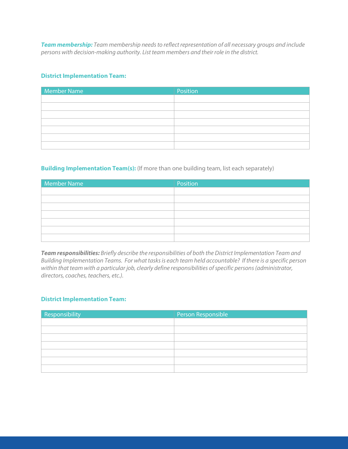*Team membership: Team membership needs to reflect representation of all necessary groups and include persons with decision-making authority. List team members and their role in the district.* 

### **District Implementation Team:**

| Member Name | Position |
|-------------|----------|
|             |          |
|             |          |
|             |          |
|             |          |
|             |          |
|             |          |
|             |          |

## **Building Implementation Team(s):** (If more than one building team, list each separately)

| <b>Member Name</b> | Position |
|--------------------|----------|
|                    |          |
|                    |          |
|                    |          |
|                    |          |
|                    |          |
|                    |          |
|                    |          |

*Team responsibilities: Briefly describe the responsibilities of both the District Implementation Team and Building Implementation Teams. For what tasks is each team held accountable? If there is a specific person within that team with a particular job, clearly define responsibilities of specific persons (administrator, directors, coaches, teachers, etc.).*

## **District Implementation Team:**

| Responsibility | Person Responsible |
|----------------|--------------------|
|                |                    |
|                |                    |
|                |                    |
|                |                    |
|                |                    |
|                |                    |
|                |                    |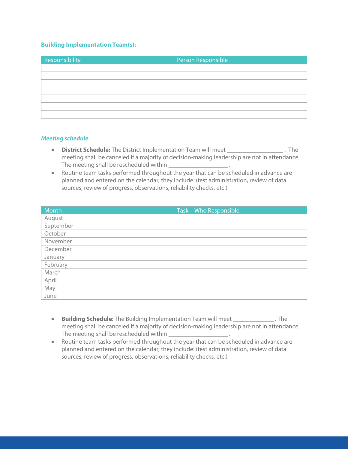#### **Building Implementation Team(s):**

| Responsibility | Person Responsible |
|----------------|--------------------|
|                |                    |
|                |                    |
|                |                    |
|                |                    |
|                |                    |
|                |                    |
|                |                    |

#### *Meeting schedule*

- **District Schedule:** The District Implementation Team will meet \_\_\_\_\_\_\_\_\_\_\_\_\_\_\_\_\_\_ . The meeting shall be canceled if a majority of decision-making leadership are not in attendance. The meeting shall be rescheduled within \_\_\_\_\_\_\_\_\_\_\_\_\_\_\_\_\_\_\_ .
- Routine team tasks performed throughout the year that can be scheduled in advance are planned and entered on the calendar; they include: (test administration, review of data sources, review of progress, observations, reliability checks, etc.)

| Month     | Task - Who Responsible |
|-----------|------------------------|
| August    |                        |
| September |                        |
| October   |                        |
| November  |                        |
| December  |                        |
| January   |                        |
| February  |                        |
| March     |                        |
| April     |                        |
| May       |                        |
| June      |                        |

- **Building Schedule**: The Building Implementation Team will meet \_\_\_\_\_\_\_\_\_\_\_\_\_ . The meeting shall be canceled if a majority of decision-making leadership are not in attendance. The meeting shall be rescheduled within \_\_\_\_\_\_\_\_\_\_\_\_\_\_\_\_\_\_\_\_\_\_\_\_.
- Routine team tasks performed throughout the year that can be scheduled in advance are planned and entered on the calendar; they include: (test administration, review of data sources, review of progress, observations, reliability checks, etc.)